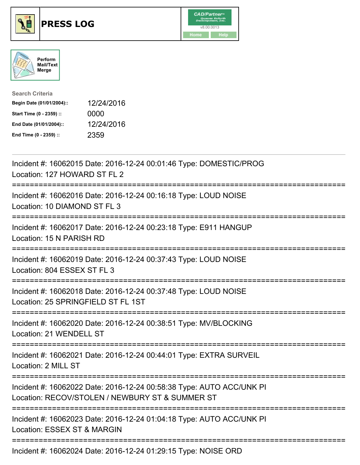





| <b>Search Criteria</b>    |            |
|---------------------------|------------|
| Begin Date (01/01/2004):: | 12/24/2016 |
| Start Time (0 - 2359) ::  | 0000       |
| End Date (01/01/2004)::   | 12/24/2016 |
| End Time (0 - 2359) ::    | 2359       |

| Incident #: 16062015 Date: 2016-12-24 00:01:46 Type: DOMESTIC/PROG<br>Location: 127 HOWARD ST FL 2<br>============      |
|-------------------------------------------------------------------------------------------------------------------------|
| Incident #: 16062016 Date: 2016-12-24 00:16:18 Type: LOUD NOISE<br>Location: 10 DIAMOND ST FL 3<br>------------         |
| Incident #: 16062017 Date: 2016-12-24 00:23:18 Type: E911 HANGUP<br>Location: 15 N PARISH RD<br>-----------------       |
| Incident #: 16062019 Date: 2016-12-24 00:37:43 Type: LOUD NOISE<br>Location: 804 ESSEX ST FL 3                          |
| Incident #: 16062018 Date: 2016-12-24 00:37:48 Type: LOUD NOISE<br>Location: 25 SPRINGFIELD ST FL 1ST                   |
| Incident #: 16062020 Date: 2016-12-24 00:38:51 Type: MV/BLOCKING<br>Location: 21 WENDELL ST                             |
| Incident #: 16062021 Date: 2016-12-24 00:44:01 Type: EXTRA SURVEIL<br>Location: 2 MILL ST                               |
| Incident #: 16062022 Date: 2016-12-24 00:58:38 Type: AUTO ACC/UNK PI<br>Location: RECOV/STOLEN / NEWBURY ST & SUMMER ST |
| Incident #: 16062023 Date: 2016-12-24 01:04:18 Type: AUTO ACC/UNK PI<br>Location: ESSEX ST & MARGIN                     |
| Incident #: 16062024 Date: 2016-12-24 01:29:15 Type: NOISE ORD                                                          |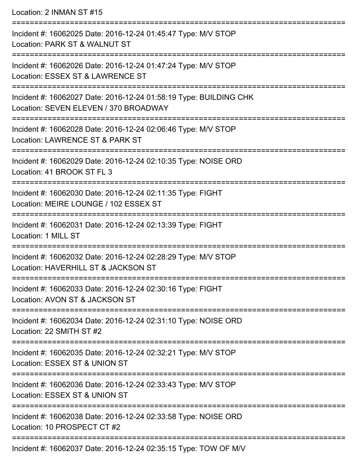Location: 2 INMAN ST #15

=========================================================================== Incident #: 16062025 Date: 2016-12-24 01:45:47 Type: M/V STOP Location: PARK ST & WALNUT ST =========================================================================== Incident #: 16062026 Date: 2016-12-24 01:47:24 Type: M/V STOP Location: ESSEX ST & LAWRENCE ST =========================================================================== Incident #: 16062027 Date: 2016-12-24 01:58:19 Type: BUILDING CHK Location: SEVEN ELEVEN / 370 BROADWAY =========================================================================== Incident #: 16062028 Date: 2016-12-24 02:06:46 Type: M/V STOP Location: LAWRENCE ST & PARK ST =========================================================================== Incident #: 16062029 Date: 2016-12-24 02:10:35 Type: NOISE ORD Location: 41 BROOK ST FL 3 =========================================================================== Incident #: 16062030 Date: 2016-12-24 02:11:35 Type: FIGHT Location: MEIRE LOUNGE / 102 ESSEX ST =========================================================================== Incident #: 16062031 Date: 2016-12-24 02:13:39 Type: FIGHT Location: 1 MILL ST =========================================================================== Incident #: 16062032 Date: 2016-12-24 02:28:29 Type: M/V STOP Location: HAVERHILL ST & JACKSON ST =========================================================================== Incident #: 16062033 Date: 2016-12-24 02:30:16 Type: FIGHT Location: AVON ST & JACKSON ST =========================================================================== Incident #: 16062034 Date: 2016-12-24 02:31:10 Type: NOISE ORD Location: 22 SMITH ST #2 =========================================================================== Incident #: 16062035 Date: 2016-12-24 02:32:21 Type: M/V STOP Location: ESSEX ST & UNION ST =========================================================================== Incident #: 16062036 Date: 2016-12-24 02:33:43 Type: M/V STOP Location: ESSEX ST & UNION ST =========================================================================== Incident #: 16062038 Date: 2016-12-24 02:33:58 Type: NOISE ORD Location: 10 PROSPECT CT #2 =========================================================================== Incident #: 16062037 Date: 2016-12-24 02:35:15 Type: TOW OF M/V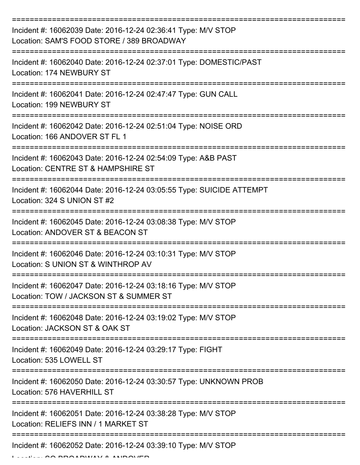| Incident #: 16062039 Date: 2016-12-24 02:36:41 Type: M/V STOP<br>Location: SAM'S FOOD STORE / 389 BROADWAY |
|------------------------------------------------------------------------------------------------------------|
| Incident #: 16062040 Date: 2016-12-24 02:37:01 Type: DOMESTIC/PAST<br>Location: 174 NEWBURY ST             |
| Incident #: 16062041 Date: 2016-12-24 02:47:47 Type: GUN CALL<br>Location: 199 NEWBURY ST                  |
| Incident #: 16062042 Date: 2016-12-24 02:51:04 Type: NOISE ORD<br>Location: 166 ANDOVER ST FL 1            |
| Incident #: 16062043 Date: 2016-12-24 02:54:09 Type: A&B PAST<br>Location: CENTRE ST & HAMPSHIRE ST        |
| Incident #: 16062044 Date: 2016-12-24 03:05:55 Type: SUICIDE ATTEMPT<br>Location: 324 S UNION ST #2        |
| Incident #: 16062045 Date: 2016-12-24 03:08:38 Type: M/V STOP<br>Location: ANDOVER ST & BEACON ST          |
| Incident #: 16062046 Date: 2016-12-24 03:10:31 Type: M/V STOP<br>Location: S UNION ST & WINTHROP AV        |
| Incident #: 16062047 Date: 2016-12-24 03:18:16 Type: M/V STOP<br>Location: TOW / JACKSON ST & SUMMER ST    |
| Incident #: 16062048 Date: 2016-12-24 03:19:02 Type: M/V STOP<br>Location: JACKSON ST & OAK ST             |
| Incident #: 16062049 Date: 2016-12-24 03:29:17 Type: FIGHT<br>Location: 535 LOWELL ST                      |
| Incident #: 16062050 Date: 2016-12-24 03:30:57 Type: UNKNOWN PROB<br>Location: 576 HAVERHILL ST            |
| Incident #: 16062051 Date: 2016-12-24 03:38:28 Type: M/V STOP<br>Location: RELIEFS INN / 1 MARKET ST       |
| Incident #: 16062052 Date: 2016-12-24 03:39:10 Type: M/V STOP                                              |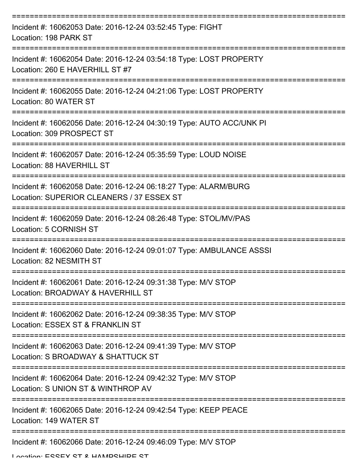| Incident #: 16062053 Date: 2016-12-24 03:52:45 Type: FIGHT<br>Location: 198 PARK ST                          |
|--------------------------------------------------------------------------------------------------------------|
| Incident #: 16062054 Date: 2016-12-24 03:54:18 Type: LOST PROPERTY<br>Location: 260 E HAVERHILL ST #7        |
| Incident #: 16062055 Date: 2016-12-24 04:21:06 Type: LOST PROPERTY<br>Location: 80 WATER ST                  |
| Incident #: 16062056 Date: 2016-12-24 04:30:19 Type: AUTO ACC/UNK PI<br>Location: 309 PROSPECT ST            |
| Incident #: 16062057 Date: 2016-12-24 05:35:59 Type: LOUD NOISE<br><b>Location: 88 HAVERHILL ST</b>          |
| Incident #: 16062058 Date: 2016-12-24 06:18:27 Type: ALARM/BURG<br>Location: SUPERIOR CLEANERS / 37 ESSEX ST |
| Incident #: 16062059 Date: 2016-12-24 08:26:48 Type: STOL/MV/PAS<br>Location: 5 CORNISH ST                   |
| Incident #: 16062060 Date: 2016-12-24 09:01:07 Type: AMBULANCE ASSSI<br>Location: 82 NESMITH ST              |
| Incident #: 16062061 Date: 2016-12-24 09:31:38 Type: M/V STOP<br>Location: BROADWAY & HAVERHILL ST           |
| Incident #: 16062062 Date: 2016-12-24 09:38:35 Type: M/V STOP<br>Location: ESSEX ST & FRANKLIN ST            |
| Incident #: 16062063 Date: 2016-12-24 09:41:39 Type: M/V STOP<br>Location: S BROADWAY & SHATTUCK ST          |
| Incident #: 16062064 Date: 2016-12-24 09:42:32 Type: M/V STOP<br>Location: S UNION ST & WINTHROP AV          |
| Incident #: 16062065 Date: 2016-12-24 09:42:54 Type: KEEP PEACE<br>Location: 149 WATER ST                    |
| Incident #: 16062066 Date: 2016-12-24 09:46:09 Type: M/V STOP                                                |

Location: ESSEX ST & HAMPSHIRE ST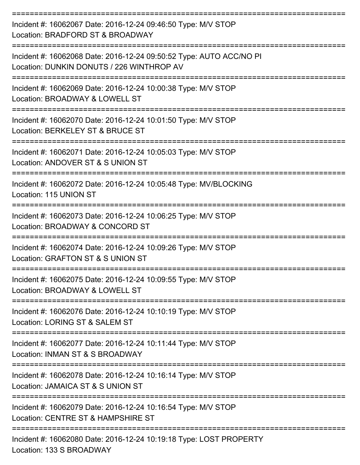| Incident #: 16062067 Date: 2016-12-24 09:46:50 Type: M/V STOP<br>Location: BRADFORD ST & BROADWAY                   |
|---------------------------------------------------------------------------------------------------------------------|
| Incident #: 16062068 Date: 2016-12-24 09:50:52 Type: AUTO ACC/NO PI<br>Location: DUNKIN DONUTS / 226 WINTHROP AV    |
| Incident #: 16062069 Date: 2016-12-24 10:00:38 Type: M/V STOP<br>Location: BROADWAY & LOWELL ST                     |
| Incident #: 16062070 Date: 2016-12-24 10:01:50 Type: M/V STOP<br>Location: BERKELEY ST & BRUCE ST                   |
| Incident #: 16062071 Date: 2016-12-24 10:05:03 Type: M/V STOP<br>Location: ANDOVER ST & S UNION ST                  |
| Incident #: 16062072 Date: 2016-12-24 10:05:48 Type: MV/BLOCKING<br>Location: 115 UNION ST                          |
| ---------------<br>Incident #: 16062073 Date: 2016-12-24 10:06:25 Type: M/V STOP<br>Location: BROADWAY & CONCORD ST |
| Incident #: 16062074 Date: 2016-12-24 10:09:26 Type: M/V STOP<br>Location: GRAFTON ST & S UNION ST                  |
| Incident #: 16062075 Date: 2016-12-24 10:09:55 Type: M/V STOP<br>Location: BROADWAY & LOWELL ST                     |
| Incident #: 16062076 Date: 2016-12-24 10:10:19 Type: M/V STOP<br>Location: LORING ST & SALEM ST                     |
| Incident #: 16062077 Date: 2016-12-24 10:11:44 Type: M/V STOP<br>Location: INMAN ST & S BROADWAY                    |
| Incident #: 16062078 Date: 2016-12-24 10:16:14 Type: M/V STOP<br>Location: JAMAICA ST & S UNION ST                  |
| Incident #: 16062079 Date: 2016-12-24 10:16:54 Type: M/V STOP<br>Location: CENTRE ST & HAMPSHIRE ST                 |
| Incident #: 16062080 Date: 2016-12-24 10:19:18 Type: LOST PROPERTY<br>Location: 133 S BROADWAY                      |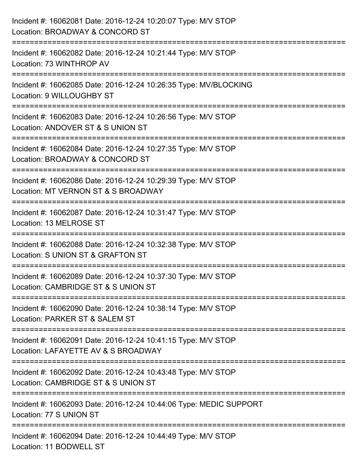| Incident #: 16062081 Date: 2016-12-24 10:20:07 Type: M/V STOP<br>Location: BROADWAY & CONCORD ST                                       |
|----------------------------------------------------------------------------------------------------------------------------------------|
| :=======================<br>Incident #: 16062082 Date: 2016-12-24 10:21:44 Type: M/V STOP<br>Location: 73 WINTHROP AV                  |
| Incident #: 16062085 Date: 2016-12-24 10:26:35 Type: MV/BLOCKING<br>Location: 9 WILLOUGHBY ST                                          |
| Incident #: 16062083 Date: 2016-12-24 10:26:56 Type: M/V STOP<br>Location: ANDOVER ST & S UNION ST                                     |
| Incident #: 16062084 Date: 2016-12-24 10:27:35 Type: M/V STOP<br>Location: BROADWAY & CONCORD ST                                       |
| ==============================<br>Incident #: 16062086 Date: 2016-12-24 10:29:39 Type: M/V STOP<br>Location: MT VERNON ST & S BROADWAY |
| Incident #: 16062087 Date: 2016-12-24 10:31:47 Type: M/V STOP<br>Location: 13 MELROSE ST                                               |
| ===============================<br>Incident #: 16062088 Date: 2016-12-24 10:32:38 Type: M/V STOP<br>Location: S UNION ST & GRAFTON ST  |
| Incident #: 16062089 Date: 2016-12-24 10:37:30 Type: M/V STOP<br>Location: CAMBRIDGE ST & S UNION ST                                   |
| Incident #: 16062090 Date: 2016-12-24 10:38:14 Type: M/V STOP<br>Location: PARKER ST & SALEM ST                                        |
| Incident #: 16062091 Date: 2016-12-24 10:41:15 Type: M/V STOP<br>Location: LAFAYETTE AV & S BROADWAY                                   |
| Incident #: 16062092 Date: 2016-12-24 10:43:48 Type: M/V STOP<br>Location: CAMBRIDGE ST & S UNION ST                                   |
| Incident #: 16062093 Date: 2016-12-24 10:44:06 Type: MEDIC SUPPORT<br>Location: 77 S UNION ST                                          |
| Incident #: 16062094 Date: 2016-12-24 10:44:49 Type: M/V STOP<br>Location: 11 BODWELL ST                                               |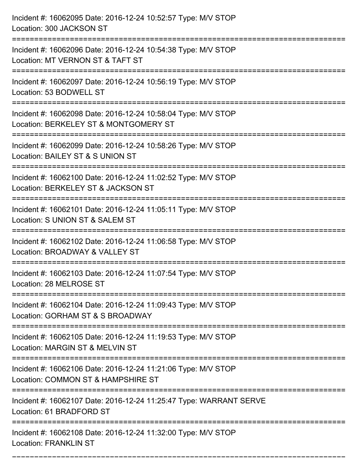| Incident #: 16062095 Date: 2016-12-24 10:52:57 Type: M/V STOP<br>Location: 300 JACKSON ST                                            |
|--------------------------------------------------------------------------------------------------------------------------------------|
| Incident #: 16062096 Date: 2016-12-24 10:54:38 Type: M/V STOP<br>Location: MT VERNON ST & TAFT ST                                    |
| Incident #: 16062097 Date: 2016-12-24 10:56:19 Type: M/V STOP<br>Location: 53 BODWELL ST                                             |
| Incident #: 16062098 Date: 2016-12-24 10:58:04 Type: M/V STOP<br>Location: BERKELEY ST & MONTGOMERY ST                               |
| Incident #: 16062099 Date: 2016-12-24 10:58:26 Type: M/V STOP<br>Location: BAILEY ST & S UNION ST<br>.----------------------------   |
| Incident #: 16062100 Date: 2016-12-24 11:02:52 Type: M/V STOP<br>Location: BERKELEY ST & JACKSON ST                                  |
| Incident #: 16062101 Date: 2016-12-24 11:05:11 Type: M/V STOP<br>Location: S UNION ST & SALEM ST                                     |
| Incident #: 16062102 Date: 2016-12-24 11:06:58 Type: M/V STOP<br>Location: BROADWAY & VALLEY ST                                      |
| Incident #: 16062103 Date: 2016-12-24 11:07:54 Type: M/V STOP<br>Location: 28 MELROSE ST                                             |
| Incident #: 16062104 Date: 2016-12-24 11:09:43 Type: M/V STOP<br>Location: GORHAM ST & S BROADWAY                                    |
| Incident #: 16062105 Date: 2016-12-24 11:19:53 Type: M/V STOP<br>Location: MARGIN ST & MELVIN ST                                     |
| Incident #: 16062106 Date: 2016-12-24 11:21:06 Type: M/V STOP<br>Location: COMMON ST & HAMPSHIRE ST                                  |
| Incident #: 16062107 Date: 2016-12-24 11:25:47 Type: WARRANT SERVE<br>Location: 61 BRADFORD ST                                       |
| ===================================<br>Incident #: 16062108 Date: 2016-12-24 11:32:00 Type: M/V STOP<br><b>Location: FRANKLIN ST</b> |

===========================================================================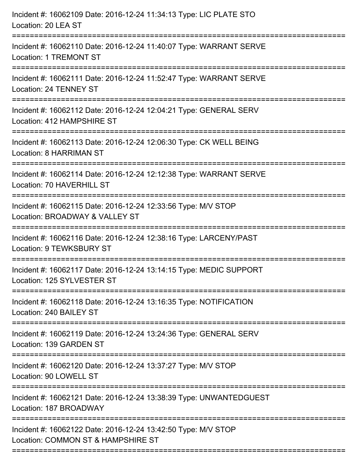| Incident #: 16062109 Date: 2016-12-24 11:34:13 Type: LIC PLATE STO<br>Location: 20 LEA ST                                                    |
|----------------------------------------------------------------------------------------------------------------------------------------------|
| Incident #: 16062110 Date: 2016-12-24 11:40:07 Type: WARRANT SERVE<br><b>Location: 1 TREMONT ST</b>                                          |
| Incident #: 16062111 Date: 2016-12-24 11:52:47 Type: WARRANT SERVE<br>Location: 24 TENNEY ST                                                 |
| Incident #: 16062112 Date: 2016-12-24 12:04:21 Type: GENERAL SERV<br>Location: 412 HAMPSHIRE ST                                              |
| Incident #: 16062113 Date: 2016-12-24 12:06:30 Type: CK WELL BEING<br><b>Location: 8 HARRIMAN ST</b><br>------------------------------------ |
| Incident #: 16062114 Date: 2016-12-24 12:12:38 Type: WARRANT SERVE<br>Location: 70 HAVERHILL ST                                              |
| Incident #: 16062115 Date: 2016-12-24 12:33:56 Type: M/V STOP<br>Location: BROADWAY & VALLEY ST                                              |
| Incident #: 16062116 Date: 2016-12-24 12:38:16 Type: LARCENY/PAST<br>Location: 9 TEWKSBURY ST                                                |
| Incident #: 16062117 Date: 2016-12-24 13:14:15 Type: MEDIC SUPPORT<br>Location: 125 SYLVESTER ST                                             |
| Incident #: 16062118 Date: 2016-12-24 13:16:35 Type: NOTIFICATION<br>Location: 240 BAILEY ST                                                 |
| Incident #: 16062119 Date: 2016-12-24 13:24:36 Type: GENERAL SERV<br>Location: 139 GARDEN ST                                                 |
| Incident #: 16062120 Date: 2016-12-24 13:37:27 Type: M/V STOP<br>Location: 90 LOWELL ST                                                      |
| Incident #: 16062121 Date: 2016-12-24 13:38:39 Type: UNWANTEDGUEST<br>Location: 187 BROADWAY                                                 |
| Incident #: 16062122 Date: 2016-12-24 13:42:50 Type: M/V STOP<br>Location: COMMON ST & HAMPSHIRE ST                                          |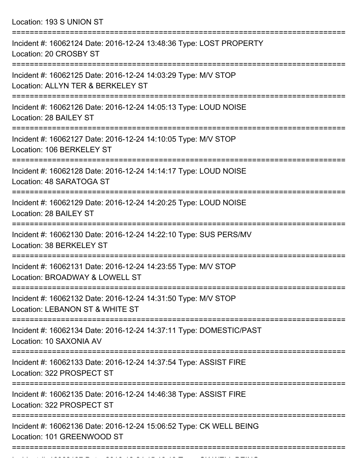Location: 193 S UNION ST =========================================================================== Incident #: 16062124 Date: 2016-12-24 13:48:36 Type: LOST PROPERTY Location: 20 CROSBY ST =========================================================================== Incident #: 16062125 Date: 2016-12-24 14:03:29 Type: M/V STOP Location: ALLYN TER & BERKELEY ST =========================================================================== Incident #: 16062126 Date: 2016-12-24 14:05:13 Type: LOUD NOISE Location: 28 BAILEY ST =========================================================================== Incident #: 16062127 Date: 2016-12-24 14:10:05 Type: M/V STOP Location: 106 BERKELEY ST =========================================================================== Incident #: 16062128 Date: 2016-12-24 14:14:17 Type: LOUD NOISE Location: 48 SARATOGA ST =========================================================================== Incident #: 16062129 Date: 2016-12-24 14:20:25 Type: LOUD NOISE Location: 28 BAILEY ST =========================================================================== Incident #: 16062130 Date: 2016-12-24 14:22:10 Type: SUS PERS/MV Location: 38 BERKELEY ST =========================================================================== Incident #: 16062131 Date: 2016-12-24 14:23:55 Type: M/V STOP Location: BROADWAY & LOWELL ST =========================================================================== Incident #: 16062132 Date: 2016-12-24 14:31:50 Type: M/V STOP Location: LEBANON ST & WHITE ST =========================================================================== Incident #: 16062134 Date: 2016-12-24 14:37:11 Type: DOMESTIC/PAST Location: 10 SAXONIA AV =========================================================================== Incident #: 16062133 Date: 2016-12-24 14:37:54 Type: ASSIST FIRE Location: 322 PROSPECT ST =========================================================================== Incident #: 16062135 Date: 2016-12-24 14:46:38 Type: ASSIST FIRE Location: 322 PROSPECT ST ===========================================================================

Incident #: 16062136 Date: 2016-12-24 15:06:52 Type: CK WELL BEING Location: 101 GREENWOOD ST

Incident #: 16062137 Date: 2016 12 24 15:16:13 Type: CK WELL BEING

===========================================================================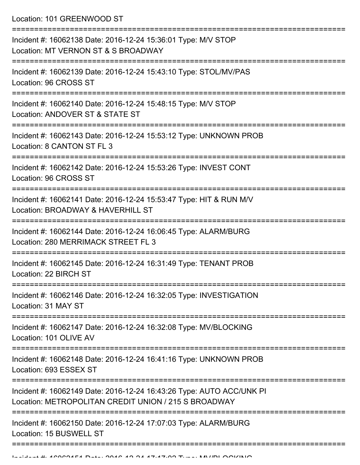Location: 101 GREENWOOD ST

| Incident #: 16062138 Date: 2016-12-24 15:36:01 Type: M/V STOP<br>Location: MT VERNON ST & S BROADWAY                         |
|------------------------------------------------------------------------------------------------------------------------------|
| Incident #: 16062139 Date: 2016-12-24 15:43:10 Type: STOL/MV/PAS<br>Location: 96 CROSS ST                                    |
| Incident #: 16062140 Date: 2016-12-24 15:48:15 Type: M/V STOP<br>Location: ANDOVER ST & STATE ST                             |
| Incident #: 16062143 Date: 2016-12-24 15:53:12 Type: UNKNOWN PROB<br>Location: 8 CANTON ST FL 3                              |
| Incident #: 16062142 Date: 2016-12-24 15:53:26 Type: INVEST CONT<br>Location: 96 CROSS ST                                    |
| Incident #: 16062141 Date: 2016-12-24 15:53:47 Type: HIT & RUN M/V<br>Location: BROADWAY & HAVERHILL ST                      |
| Incident #: 16062144 Date: 2016-12-24 16:06:45 Type: ALARM/BURG<br>Location: 280 MERRIMACK STREET FL 3                       |
| Incident #: 16062145 Date: 2016-12-24 16:31:49 Type: TENANT PROB<br>Location: 22 BIRCH ST                                    |
| Incident #: 16062146 Date: 2016-12-24 16:32:05 Type: INVESTIGATION<br>Location: 31 MAY ST                                    |
| Incident #: 16062147 Date: 2016-12-24 16:32:08 Type: MV/BLOCKING<br>Location: 101 OLIVE AV                                   |
| Incident #: 16062148 Date: 2016-12-24 16:41:16 Type: UNKNOWN PROB<br>Location: 693 ESSEX ST                                  |
| Incident #: 16062149 Date: 2016-12-24 16:43:26 Type: AUTO ACC/UNK PI<br>Location: METROPOLITAN CREDIT UNION / 215 S BROADWAY |
| Incident #: 16062150 Date: 2016-12-24 17:07:03 Type: ALARM/BURG<br>Location: 15 BUSWELL ST                                   |
|                                                                                                                              |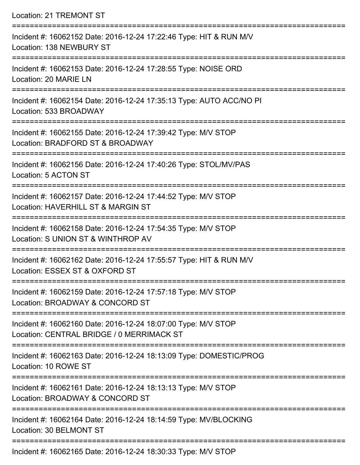| Location: 21 TREMONT ST                                                                                                               |
|---------------------------------------------------------------------------------------------------------------------------------------|
| Incident #: 16062152 Date: 2016-12-24 17:22:46 Type: HIT & RUN M/V<br>Location: 138 NEWBURY ST<br>:================================== |
| Incident #: 16062153 Date: 2016-12-24 17:28:55 Type: NOISE ORD<br>Location: 20 MARIE LN                                               |
| Incident #: 16062154 Date: 2016-12-24 17:35:13 Type: AUTO ACC/NO PI<br>Location: 533 BROADWAY<br>===================================  |
| Incident #: 16062155 Date: 2016-12-24 17:39:42 Type: M/V STOP<br>Location: BRADFORD ST & BROADWAY                                     |
| Incident #: 16062156 Date: 2016-12-24 17:40:26 Type: STOL/MV/PAS<br>Location: 5 ACTON ST<br>-----------------------------             |
| Incident #: 16062157 Date: 2016-12-24 17:44:52 Type: M/V STOP<br>Location: HAVERHILL ST & MARGIN ST<br>========================       |
| Incident #: 16062158 Date: 2016-12-24 17:54:35 Type: M/V STOP<br>Location: S UNION ST & WINTHROP AV<br>:=====================         |
| Incident #: 16062162 Date: 2016-12-24 17:55:57 Type: HIT & RUN M/V<br>Location: ESSEX ST & OXFORD ST                                  |
| Incident #: 16062159 Date: 2016-12-24 17:57:18 Type: M/V STOP<br>Location: BROADWAY & CONCORD ST                                      |
| Incident #: 16062160 Date: 2016-12-24 18:07:00 Type: M/V STOP<br>Location: CENTRAL BRIDGE / 0 MERRIMACK ST                            |
| Incident #: 16062163 Date: 2016-12-24 18:13:09 Type: DOMESTIC/PROG<br>Location: 10 ROWE ST                                            |
| Incident #: 16062161 Date: 2016-12-24 18:13:13 Type: M/V STOP<br>Location: BROADWAY & CONCORD ST                                      |
| Incident #: 16062164 Date: 2016-12-24 18:14:59 Type: MV/BLOCKING<br>Location: 30 BELMONT ST                                           |
|                                                                                                                                       |

Incident #: 16062165 Date: 2016-12-24 18:30:33 Type: M/V STOP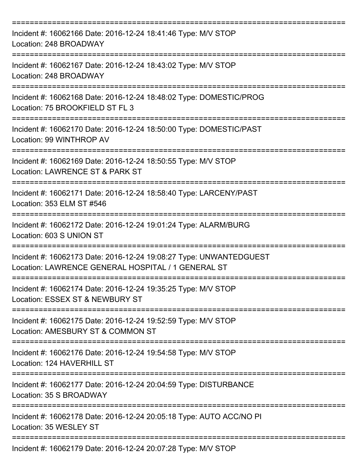| Incident #: 16062166 Date: 2016-12-24 18:41:46 Type: M/V STOP<br>Location: 248 BROADWAY                                                 |
|-----------------------------------------------------------------------------------------------------------------------------------------|
| Incident #: 16062167 Date: 2016-12-24 18:43:02 Type: M/V STOP<br>Location: 248 BROADWAY                                                 |
| Incident #: 16062168 Date: 2016-12-24 18:48:02 Type: DOMESTIC/PROG<br>Location: 75 BROOKFIELD ST FL 3                                   |
| Incident #: 16062170 Date: 2016-12-24 18:50:00 Type: DOMESTIC/PAST<br>Location: 99 WINTHROP AV                                          |
| Incident #: 16062169 Date: 2016-12-24 18:50:55 Type: M/V STOP<br>Location: LAWRENCE ST & PARK ST                                        |
| Incident #: 16062171 Date: 2016-12-24 18:58:40 Type: LARCENY/PAST<br>Location: 353 ELM ST #546                                          |
| Incident #: 16062172 Date: 2016-12-24 19:01:24 Type: ALARM/BURG<br>Location: 603 S UNION ST                                             |
| ===========<br>Incident #: 16062173 Date: 2016-12-24 19:08:27 Type: UNWANTEDGUEST<br>Location: LAWRENCE GENERAL HOSPITAL / 1 GENERAL ST |
| Incident #: 16062174 Date: 2016-12-24 19:35:25 Type: M/V STOP<br>Location: ESSEX ST & NEWBURY ST                                        |
| Incident #: 16062175 Date: 2016-12-24 19:52:59 Type: M/V STOP<br>Location: AMESBURY ST & COMMON ST                                      |
| Incident #: 16062176 Date: 2016-12-24 19:54:58 Type: M/V STOP<br>Location: 124 HAVERHILL ST                                             |
| Incident #: 16062177 Date: 2016-12-24 20:04:59 Type: DISTURBANCE<br>Location: 35 S BROADWAY                                             |
| Incident #: 16062178 Date: 2016-12-24 20:05:18 Type: AUTO ACC/NO PI<br>Location: 35 WESLEY ST                                           |
| Incident #: 16062179 Date: 2016-12-24 20:07:28 Type: M/V STOP                                                                           |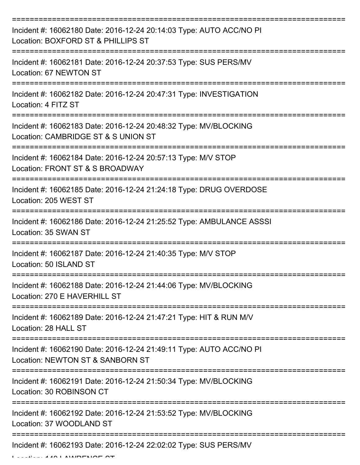| Incident #: 16062180 Date: 2016-12-24 20:14:03 Type: AUTO ACC/NO PI<br>Location: BOXFORD ST & PHILLIPS ST |
|-----------------------------------------------------------------------------------------------------------|
| Incident #: 16062181 Date: 2016-12-24 20:37:53 Type: SUS PERS/MV<br>Location: 67 NEWTON ST                |
| Incident #: 16062182 Date: 2016-12-24 20:47:31 Type: INVESTIGATION<br>Location: 4 FITZ ST                 |
| Incident #: 16062183 Date: 2016-12-24 20:48:32 Type: MV/BLOCKING<br>Location: CAMBRIDGE ST & S UNION ST   |
| Incident #: 16062184 Date: 2016-12-24 20:57:13 Type: M/V STOP<br>Location: FRONT ST & S BROADWAY          |
| Incident #: 16062185 Date: 2016-12-24 21:24:18 Type: DRUG OVERDOSE<br>Location: 205 WEST ST               |
| Incident #: 16062186 Date: 2016-12-24 21:25:52 Type: AMBULANCE ASSSI<br>Location: 35 SWAN ST              |
| Incident #: 16062187 Date: 2016-12-24 21:40:35 Type: M/V STOP<br>Location: 50 ISLAND ST                   |
| Incident #: 16062188 Date: 2016-12-24 21:44:06 Type: MV/BLOCKING<br>Location: 270 E HAVERHILL ST          |
| Incident #: 16062189 Date: 2016-12-24 21:47:21 Type: HIT & RUN M/V<br>Location: 28 HALL ST                |
| Incident #: 16062190 Date: 2016-12-24 21:49:11 Type: AUTO ACC/NO PI<br>Location: NEWTON ST & SANBORN ST   |
| Incident #: 16062191 Date: 2016-12-24 21:50:34 Type: MV/BLOCKING<br>Location: 30 ROBINSON CT              |
| Incident #: 16062192 Date: 2016-12-24 21:53:52 Type: MV/BLOCKING<br>Location: 37 WOODLAND ST              |
| Incident #: 16062193 Date: 2016-12-24 22:02:02 Type: SUS PERS/MV                                          |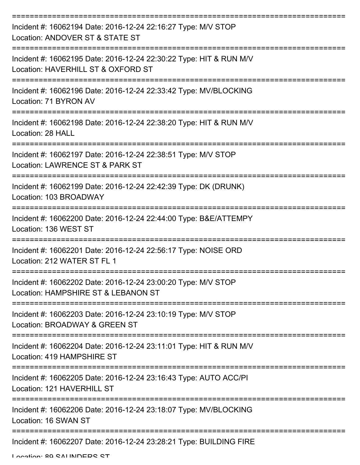| Incident #: 16062194 Date: 2016-12-24 22:16:27 Type: M/V STOP<br>Location: ANDOVER ST & STATE ST         |
|----------------------------------------------------------------------------------------------------------|
| Incident #: 16062195 Date: 2016-12-24 22:30:22 Type: HIT & RUN M/V<br>Location: HAVERHILL ST & OXFORD ST |
| Incident #: 16062196 Date: 2016-12-24 22:33:42 Type: MV/BLOCKING<br>Location: 71 BYRON AV                |
| Incident #: 16062198 Date: 2016-12-24 22:38:20 Type: HIT & RUN M/V<br>Location: 28 HALL                  |
| Incident #: 16062197 Date: 2016-12-24 22:38:51 Type: M/V STOP<br>Location: LAWRENCE ST & PARK ST         |
| Incident #: 16062199 Date: 2016-12-24 22:42:39 Type: DK (DRUNK)<br>Location: 103 BROADWAY                |
| Incident #: 16062200 Date: 2016-12-24 22:44:00 Type: B&E/ATTEMPY<br>Location: 136 WEST ST                |
| Incident #: 16062201 Date: 2016-12-24 22:56:17 Type: NOISE ORD<br>Location: 212 WATER ST FL 1            |
| Incident #: 16062202 Date: 2016-12-24 23:00:20 Type: M/V STOP<br>Location: HAMPSHIRE ST & LEBANON ST     |
| Incident #: 16062203 Date: 2016-12-24 23:10:19 Type: M/V STOP<br>Location: BROADWAY & GREEN ST           |
| Incident #: 16062204 Date: 2016-12-24 23:11:01 Type: HIT & RUN M/V<br>Location: 419 HAMPSHIRE ST         |
| Incident #: 16062205 Date: 2016-12-24 23:16:43 Type: AUTO ACC/PI<br>Location: 121 HAVERHILL ST           |
| Incident #: 16062206 Date: 2016-12-24 23:18:07 Type: MV/BLOCKING<br>Location: 16 SWAN ST                 |
| Incident #: 16062207 Date: 2016-12-24 23:28:21 Type: BUILDING FIRE                                       |